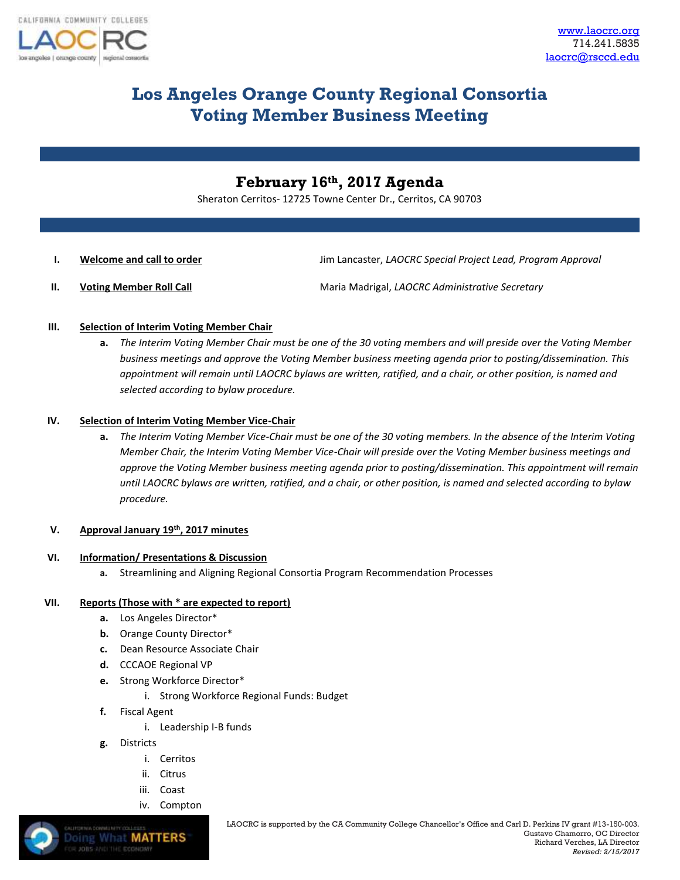

# **Los Angeles Orange County Regional Consortia Voting Member Business Meeting**

# **February 16th, 2017 Agenda**

Sheraton Cerritos- 12725 Towne Center Dr., Cerritos, CA 90703

**I. Welcome and call to order Jim Lancaster,** *LAOCRC Special Project Lead, Program Approval* 

**II. Voting Member Roll Call** Maria Madrigal, *LAOCRC Administrative Secretary* 

- **III. Selection of Interim Voting Member Chair**
	- **a.** *The Interim Voting Member Chair must be one of the 30 voting members and will preside over the Voting Member business meetings and approve the Voting Member business meeting agenda prior to posting/dissemination. This appointment will remain until LAOCRC bylaws are written, ratified, and a chair, or other position, is named and selected according to bylaw procedure.*

## **IV. Selection of Interim Voting Member Vice-Chair**

**a.** *The Interim Voting Member Vice-Chair must be one of the 30 voting members. In the absence of the Interim Voting Member Chair, the Interim Voting Member Vice-Chair will preside over the Voting Member business meetings and approve the Voting Member business meeting agenda prior to posting/dissemination. This appointment will remain until LAOCRC bylaws are written, ratified, and a chair, or other position, is named and selected according to bylaw procedure.* 

#### **V. Approval January 19th, 2017 minutes**

#### **VI. Information/ Presentations & Discussion**

**a.** Streamlining and Aligning Regional Consortia Program Recommendation Processes

# **VII. Reports (Those with \* are expected to report)**

- **a.** Los Angeles Director\*
- **b.** Orange County Director\*
- **c.** Dean Resource Associate Chair
- **d.** CCCAOE Regional VP
- **e.** Strong Workforce Director\*
	- i. Strong Workforce Regional Funds: Budget
- **f.** Fiscal Agent
	- i. Leadership I-B funds
- **g.** Districts

**Doing What MATTERS** 

- i. Cerritos
- ii. Citrus
- iii. Coast
- iv. Compton

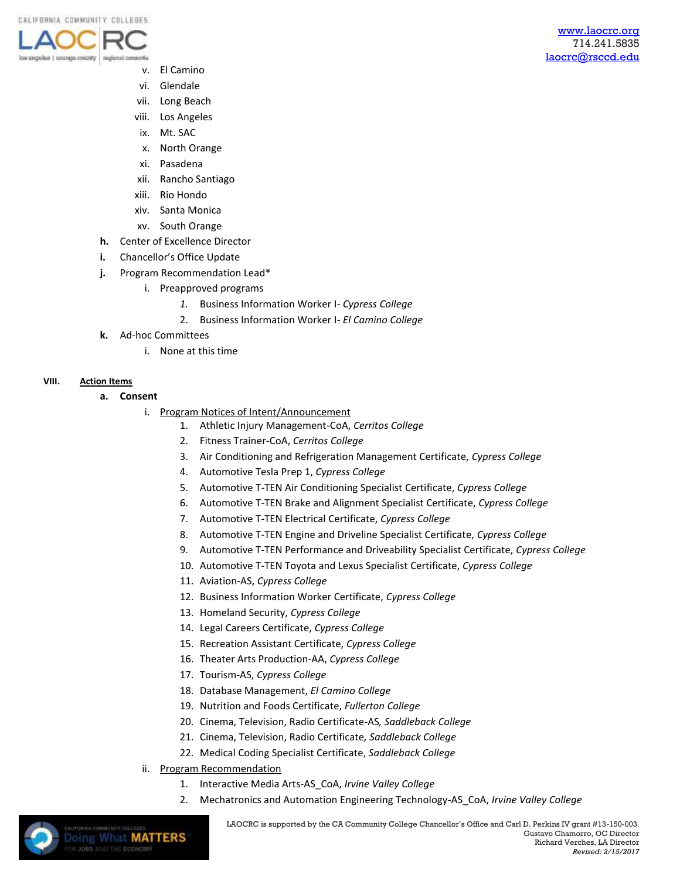

- v. El Camino
- vi. Glendale
- vii. Long Beach
- viii. Los Angeles
- ix. Mt. SAC
- x. North Orange
- xi. Pasadena
- xii. Rancho Santiago
- xiii. Rio Hondo
- xiv. Santa Monica
- xv. South Orange
- **h.** Center of Excellence Director
- **i.** Chancellor's Office Update
- **j.** Program Recommendation Lead\*
	- i. Preapproved programs
		- *1.* Business Information Worker I- *Cypress College*
		- 2. Business Information Worker I- *El Camino College*
- **k.** Ad-hoc Committees
	- i. None at this time

#### **VIII. Action Items**

**a. Consent** 

**Doing What MATTERS** 

- i. Program Notices of Intent/Announcement
	- 1. Athletic Injury Management-CoA, *Cerritos College*
	- 2. Fitness Trainer-CoA, *Cerritos College*
	- 3. Air Conditioning and Refrigeration Management Certificate, *Cypress College*
	- 4. Automotive Tesla Prep 1, *Cypress College*
	- 5. Automotive T-TEN Air Conditioning Specialist Certificate, *Cypress College*
	- 6. Automotive T-TEN Brake and Alignment Specialist Certificate, *Cypress College*
	- 7. Automotive T-TEN Electrical Certificate, *Cypress College*
	- 8. Automotive T-TEN Engine and Driveline Specialist Certificate, *Cypress College*
	- 9. Automotive T-TEN Performance and Driveability Specialist Certificate, *Cypress College*
	- 10. Automotive T-TEN Toyota and Lexus Specialist Certificate, *Cypress College*
	- 11. Aviation-AS, *Cypress College*
	- 12. Business Information Worker Certificate, *Cypress College*
	- 13. Homeland Security, *Cypress College*
	- 14. Legal Careers Certificate, *Cypress College*
	- 15. Recreation Assistant Certificate, *Cypress College*
	- 16. Theater Arts Production-AA, *Cypress College*
	- 17. Tourism-AS, *Cypress College*
	- 18. Database Management, *El Camino College*
	- 19. Nutrition and Foods Certificate, *Fullerton College*
	- 20. Cinema, Television, Radio Certificate-AS*, Saddleback College*
	- 21. Cinema, Television, Radio Certificate*, Saddleback College*
	- 22. Medical Coding Specialist Certificate, *Saddleback College*
- ii. Program Recommendation
	- 1. Interactive Media Arts-AS\_CoA, *Irvine Valley College*
	- 2. Mechatronics and Automation Engineering Technology-AS\_CoA, *Irvine Valley College*